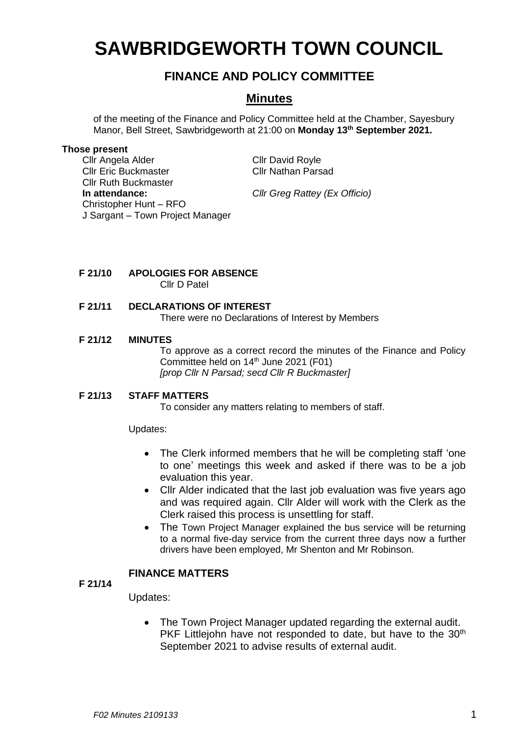# **SAWBRIDGEWORTH TOWN COUNCIL**

# **FINANCE AND POLICY COMMITTEE**

## **Minutes**

of the meeting of the Finance and Policy Committee held at the Chamber, Sayesbury Manor, Bell Street, Sawbridgeworth at 21:00 on **Monday 13 th September 2021.**

#### **Those present**

Cllr Angela Alder Cllr David Royle Cllr Eric Buckmaster Cllr Nathan Parsad Cllr Ruth Buckmaster **In attendance:** *Cllr Greg Rattey (Ex Officio)* Christopher Hunt – RFO J Sargant – Town Project Manager

- **F 21/10 APOLOGIES FOR ABSENCE** Cllr D Patel
- **F 21/11 DECLARATIONS OF INTEREST** There were no Declarations of Interest by Members

#### **F 21/12 MINUTES**

To approve as a correct record the minutes of the Finance and Policy Committee held on 14<sup>th</sup> June 2021 (F01) *[prop Cllr N Parsad; secd Cllr R Buckmaster]*

#### **F 21/13 STAFF MATTERS**

To consider any matters relating to members of staff.

Updates:

- The Clerk informed members that he will be completing staff 'one to one' meetings this week and asked if there was to be a job evaluation this year.
- Cllr Alder indicated that the last job evaluation was five years ago and was required again. Cllr Alder will work with the Clerk as the Clerk raised this process is unsettling for staff.
- The Town Project Manager explained the bus service will be returning to a normal five-day service from the current three days now a further drivers have been employed, Mr Shenton and Mr Robinson.

#### **FINANCE MATTERS**

**F 21/14**

Updates:

• The Town Project Manager updated regarding the external audit. PKF Littlejohn have not responded to date, but have to the 30<sup>th</sup> September 2021 to advise results of external audit.